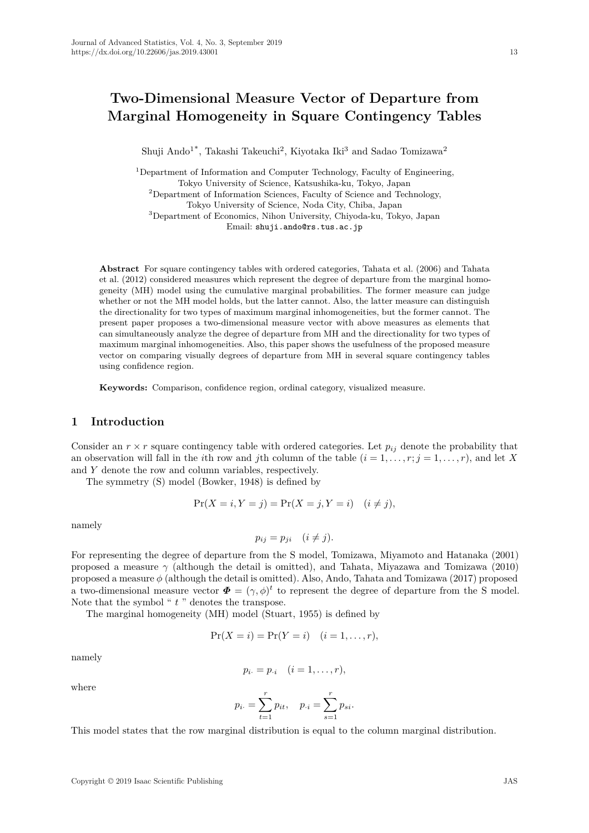# **Two-Dimensional Measure Vector of Departure from Marginal Homogeneity in Square Contingency Tables**

Shuji Ando<sup>1\*</sup>, Takashi Takeuchi<sup>2</sup>, Kiyotaka Iki<sup>3</sup> and Sadao Tomizawa<sup>2</sup>

<sup>1</sup>Department of Information and Computer Technology, Faculty of Engineering, Tokyo University of Science, Katsushika-ku, Tokyo, Japan

 $2$ Department of Information Sciences, Faculty of Science and Technology, Tokyo University of Science, Noda City, Chiba, Japan

<sup>3</sup>Department of Economics, Nihon University, Chiyoda-ku, Tokyo, Japan

Email: shuji.ando@rs.tus.ac.jp

**Abstract** For square contingency tables with ordered categories, Tahata et al. (2006) and Tahata et al. (2012) considered measures which represent the degree of departure from the marginal homogeneity (MH) model using the cumulative marginal probabilities. The former measure can judge whether or not the MH model holds, but the latter cannot. Also, the latter measure can distinguish the directionality for two types of maximum marginal inhomogeneities, but the former cannot. The present paper proposes a two-dimensional measure vector with above measures as elements that can simultaneously analyze the degree of departure from MH and the directionality for two types of maximum marginal inhomogeneities. Also, this paper shows the usefulness of the proposed measure vector on comparing visually degrees of departure from MH in several square contingency tables using confidence region.

**Keywords:** Comparison, confidence region, ordinal category, visualized measure.

# **1 Introduction**

Consider an  $r \times r$  square contingency table with ordered categories. Let  $p_{ij}$  denote the probability that an observation will fall in the *i*th row and *j*th column of the table  $(i = 1, \ldots, r; j = 1, \ldots, r)$ , and let *X* and *Y* denote the row and column variables, respectively.

The symmetry (S) model (Bowker, 1948) is defined by

$$
Pr(X = i, Y = j) = Pr(X = j, Y = i) \quad (i \neq j),
$$

namely

$$
p_{ij} = p_{ji} \quad (i \neq j).
$$

For representing the degree of departure from the S model, Tomizawa, Miyamoto and Hatanaka (2001) proposed a measure *γ* (although the detail is omitted), and Tahata, Miyazawa and Tomizawa (2010) proposed a measure *ϕ* (although the detail is omitted). Also, Ando, Tahata and Tomizawa (2017) proposed a two-dimensional measure vector  $\boldsymbol{\Phi} = (\gamma, \phi)^t$  to represent the degree of departure from the S model. Note that the symbol " *t* " denotes the transpose.

The marginal homogeneity (MH) model (Stuart, 1955) is defined by

$$
Pr(X = i) = Pr(Y = i) \quad (i = 1, ..., r),
$$

namely

$$
p_{i\cdot}=p_{\cdot i}\quad (i=1,\ldots,r),
$$

where

$$
p_{i.} = \sum_{t=1}^{r} p_{it}, \quad p_{\cdot i} = \sum_{s=1}^{r} p_{si}.
$$

This model states that the row marginal distribution is equal to the column marginal distribution.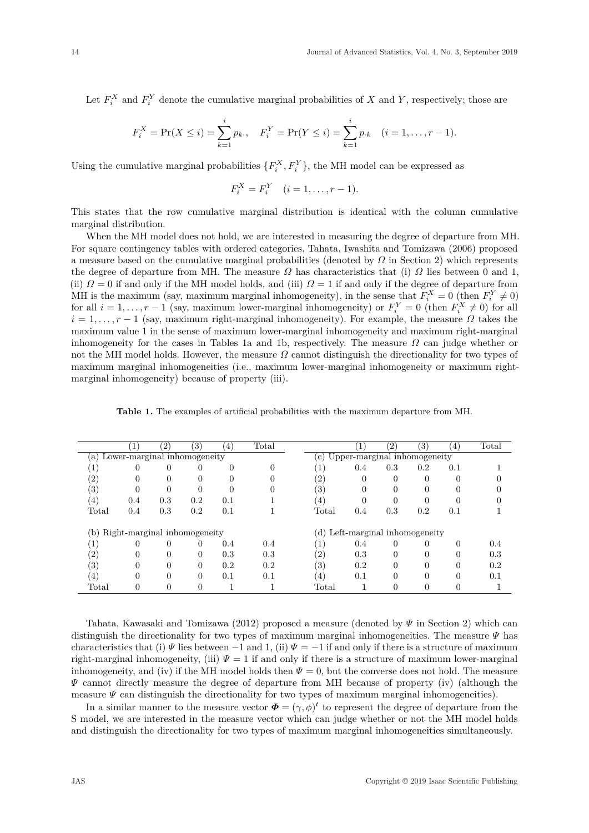Let  $F_i^X$  and  $F_i^Y$  denote the cumulative marginal probabilities of *X* and *Y*, respectively; those are

$$
F_i^X = \Pr(X \le i) = \sum_{k=1}^i p_k, \quad F_i^Y = \Pr(Y \le i) = \sum_{k=1}^i p_k \quad (i = 1, \dots, r-1).
$$

Using the cumulative marginal probabilities  $\{F_i^X, F_i^Y\}$ , the MH model can be expressed as

$$
F_i^X = F_i^Y \quad (i = 1, \dots, r - 1).
$$

This states that the row cumulative marginal distribution is identical with the column cumulative marginal distribution.

When the MH model does not hold, we are interested in measuring the degree of departure from MH. For square contingency tables with ordered categories, Tahata, Iwashita and Tomizawa (2006) proposed a measure based on the cumulative marginal probabilities (denoted by *Ω* in Section 2) which represents the degree of departure from MH. The measure  $\Omega$  has characteristics that (i)  $\Omega$  lies between 0 and 1, (ii)  $\Omega = 0$  if and only if the MH model holds, and (iii)  $\Omega = 1$  if and only if the degree of departure from MH is the maximum (say, maximum marginal inhomogeneity), in the sense that  $F_i^X = 0$  (then  $F_i^Y \neq 0$ ) for all  $i = 1, \ldots, r - 1$  (say, maximum lower-marginal inhomogeneity) or  $F_i^Y = 0$  (then  $F_i^X \neq 0$ ) for all  $i = 1, \ldots, r - 1$  (say, maximum right-marginal inhomogeneity). For example, the measure  $\Omega$  takes the maximum value 1 in the sense of maximum lower-marginal inhomogeneity and maximum right-marginal inhomogeneity for the cases in Tables 1a and 1b, respectively. The measure  $\Omega$  can judge whether or not the MH model holds. However, the measure *Ω* cannot distinguish the directionality for two types of maximum marginal inhomogeneities (i.e., maximum lower-marginal inhomogeneity or maximum rightmarginal inhomogeneity) because of property (iii).

|                   |                              | $\left( 2\right)$            | $\left(3\right)$ | $\left( 4\right)$ | Total |                   |                                 | $^{^{\prime}2}$ | 3)       | $\left(4\right)$ | Total |  |  |
|-------------------|------------------------------|------------------------------|------------------|-------------------|-------|-------------------|---------------------------------|-----------------|----------|------------------|-------|--|--|
| a)                |                              | Lower-marginal inhomogeneity |                  |                   |       | $\mathbf{c}$ )    | Upper-marginal inhomogeneity    |                 |          |                  |       |  |  |
| Τ.                | 0                            | 0                            | 0                | 0                 |       |                   | 0.4                             | 0.3             | 0.2      | 0.1              |       |  |  |
| $\left( 2\right)$ |                              |                              |                  |                   |       | $\left( 2\right)$ |                                 |                 |          |                  |       |  |  |
| $\left(3\right)$  | 0                            | 0                            | ∩                |                   |       | (3)               |                                 |                 |          |                  |       |  |  |
| $\left(4\right)$  | 0.4                          | 0.3                          | 0.2              | 0.1               |       | $\left( 4\right)$ |                                 |                 |          |                  |       |  |  |
| Total             | 0.4                          | 0.3                          | 0.2              | 0.1               |       | Total             | 0.4                             | 0.3             | 0.2      | 0.1              |       |  |  |
| (b)               | Right-marginal inhomogeneity |                              |                  |                   |       |                   | (d) Left-marginal inhomogeneity |                 |          |                  |       |  |  |
| T.                | 0                            | 0                            | 0                | 0.4               | 0.4   |                   | 0.4                             |                 |          |                  | 0.4   |  |  |
| (2)               | 0                            | 0                            | $\Omega$         | 0.3               | 0.3   | (2)               | 0.3                             | 0               |          | 0                | 0.3   |  |  |
| (3)               | 0                            | 0                            |                  | 0.2               | 0.2   | $\left( 3\right)$ | 0.2                             |                 |          |                  | 0.2   |  |  |
| $\overline{4}$    | $\Omega$                     | 0                            | 0                | 0.1               | 0.1   | $\left( 4\right)$ | 0.1                             |                 | $\Omega$ | 0                | 0.1   |  |  |
| Total             |                              |                              |                  |                   |       | Total             |                                 |                 |          |                  |       |  |  |

Tahata, Kawasaki and Tomizawa (2012) proposed a measure (denoted by *Ψ* in Section 2) which can distinguish the directionality for two types of maximum marginal inhomogeneities. The measure *Ψ* has characteristics that (i)  $\Psi$  lies between  $-1$  and 1, (ii)  $\Psi = -1$  if and only if there is a structure of maximum right-marginal inhomogeneity, (iii)  $\Psi = 1$  if and only if there is a structure of maximum lower-marginal inhomogeneity, and (iv) if the MH model holds then  $\Psi = 0$ , but the converse does not hold. The measure *Ψ* cannot directly measure the degree of departure from MH because of property (iv) (although the measure  $\Psi$  can distinguish the directionality for two types of maximum marginal inhomogeneities).

In a similar manner to the measure vector  $\boldsymbol{\Phi} = (\gamma, \phi)^t$  to represent the degree of departure from the S model, we are interested in the measure vector which can judge whether or not the MH model holds and distinguish the directionality for two types of maximum marginal inhomogeneities simultaneously.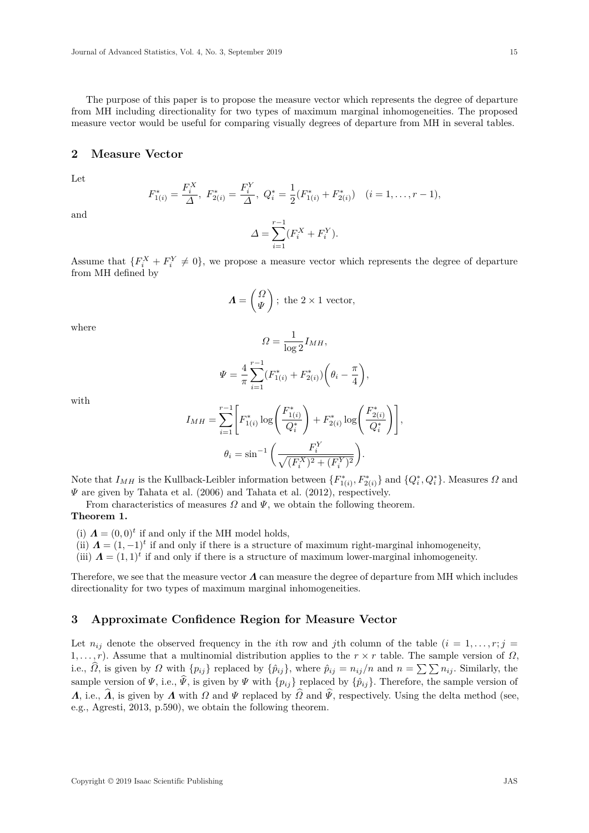The purpose of this paper is to propose the measure vector which represents the degree of departure from MH including directionality for two types of maximum marginal inhomogeneities. The proposed measure vector would be useful for comparing visually degrees of departure from MH in several tables.

#### **2 Measure Vector**

Let

$$
F_{1(i)}^* = \frac{F_i^X}{\Delta}, \ F_{2(i)}^* = \frac{F_i^Y}{\Delta}, \ Q_i^* = \frac{1}{2}(F_{1(i)}^* + F_{2(i)}^*) \quad (i = 1, \dots, r-1),
$$

and

$$
\varDelta = \sum_{i=1}^{r-1} (F_i^X + F_i^Y).
$$

Assume that  $\{F_i^X + F_i^Y \neq 0\}$ , we propose a measure vector which represents the degree of departure from MH defined by

$$
\boldsymbol{\Lambda} = \begin{pmatrix} \Omega \\ \Psi \end{pmatrix}; \text{ the } 2 \times 1 \text{ vector},
$$

where

$$
\varOmega = \frac{1}{\log 2} I_{MH},
$$

$$
\Psi = \frac{4}{\pi} \sum_{i=1}^{r-1} (F_{1(i)}^* + F_{2(i)}^*) \left(\theta_i - \frac{\pi}{4}\right),
$$

with

$$
I_{MH} = \sum_{i=1}^{r-1} \left[ F_{1(i)}^* \log \left( \frac{F_{1(i)}^*}{Q_i^*} \right) + F_{2(i)}^* \log \left( \frac{F_{2(i)}^*}{Q_i^*} \right) \right],
$$
  

$$
\theta_i = \sin^{-1} \left( \frac{F_i^Y}{\sqrt{(F_i^X)^2 + (F_i^Y)^2}} \right).
$$

Note that  $I_{MH}$  is the Kullback-Leibler information between  $\{F_{1(i)}^*, F_{2(i)}^*\}$  and  $\{Q_i^*, Q_i^*\}$ . Measures  $\Omega$  and *Ψ* are given by Tahata et al. (2006) and Tahata et al. (2012), respectively.

From characteristics of measures  $\Omega$  and  $\Psi$ , we obtain the following theorem.

#### **Theorem 1.**

(i)  $\mathbf{\Lambda} = (0,0)^t$  if and only if the MH model holds,

(ii)  $\mathbf{\Lambda} = (1, -1)^t$  if and only if there is a structure of maximum right-marginal inhomogeneity,

(iii)  $\mathbf{\Lambda} = (1,1)^t$  if and only if there is a structure of maximum lower-marginal inhomogeneity.

Therefore, we see that the measure vector *Λ* can measure the degree of departure from MH which includes directionality for two types of maximum marginal inhomogeneities.

# **3 Approximate Confidence Region for Measure Vector**

Let  $n_{ij}$  denote the observed frequency in the *i*th row and *j*th column of the table  $(i = 1, \ldots, r; j = 1$ 1*, . . . , r*). Assume that a multinomial distribution applies to the *r × r* table. The sample version of *Ω*, i.e.,  $\widehat{\Omega}$ , is given by  $\Omega$  with  $\{p_{ij}\}\$  replaced by  $\{\widehat{p}_{ij}\}\$ , where  $\widehat{p}_{ij} = n_{ij}/n$  and  $n = \sum \sum n_{ij}$ . Similarly, the sample version of  $\Psi$ , i.e.,  $\hat{\Psi}$ , is given by  $\Psi$  with  $\{p_{ij}\}$  replaced by  $\{\hat{p}_{ij}\}$ . Therefore, the sample version of *Λ*, i.e.,  $\hat{\Lambda}$ , is given by *Λ* with *Ω* and  $\Psi$  replaced by  $\hat{\Omega}$  and  $\Psi$ , respectively. Using the delta method (see, e.g., Agresti, 2013, p.590), we obtain the following theorem.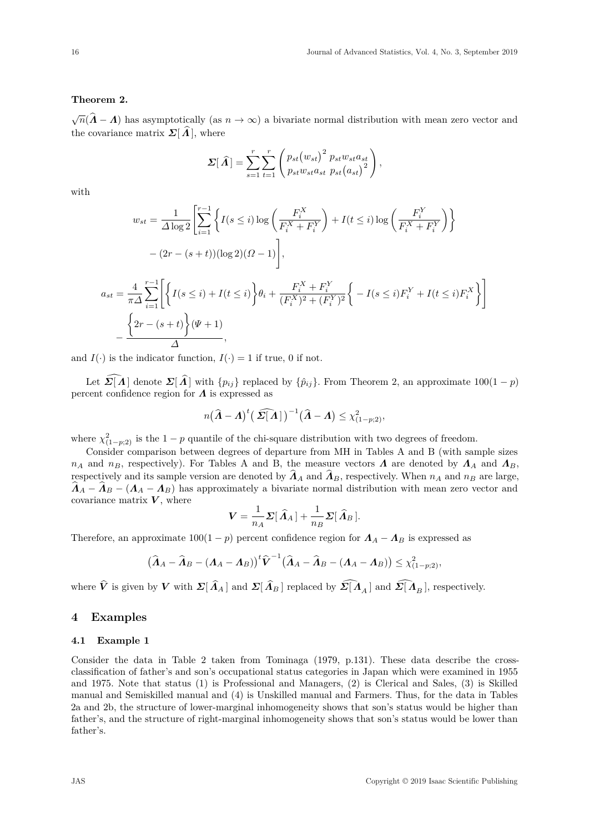# **Theorem 2.**

 $\sqrt{n}(\hat{\bm{\Lambda}} - \bm{\Lambda})$  has asymptotically (as  $n \to \infty$ ) a bivariate normal distribution with mean zero vector and the covariance matrix  $\Sigma[\Lambda]$ , where

$$
\Sigma[\widehat{\Lambda}] = \sum_{s=1}^{r} \sum_{t=1}^{r} \left( p_{st}(w_{st})^2 p_{st} w_{st} a_{st} \over p_{st}(a_{st})^2 \right),
$$

with

$$
w_{st} = \frac{1}{\Delta \log 2} \left[ \sum_{i=1}^{r-1} \left\{ I(s \le i) \log \left( \frac{F_i^X}{F_i^X + F_i^Y} \right) + I(t \le i) \log \left( \frac{F_i^Y}{F_i^X + F_i^Y} \right) \right\} - (2r - (s + t)) (\log 2)(\Omega - 1) \right],
$$
  

$$
a_{st} = \frac{4}{\pi \Delta} \sum_{i=1}^{r-1} \left[ \left\{ I(s \le i) + I(t \le i) \right\} \theta_i + \frac{F_i^X + F_i^Y}{(F_i^X)^2 + (F_i^Y)^2} \right\} - I(s \le i) F_i^Y + I(t \le i) F_i^X \right\} \right]
$$
  

$$
- \frac{\left\{ 2r - (s + t) \right\} (\Psi + 1)}{\Delta},
$$

and  $I(\cdot)$  is the indicator function,  $I(\cdot) = 1$  if true, 0 if not.

Let  $\mathbf{\Sigma}[\hat{\bm{\Lambda}}]$  denote  $\mathbf{\Sigma}[\hat{\bm{\Lambda}}]$  with  $\{p_{ij}\}$  replaced by  $\{\hat{p}_{ij}\}$ . From Theorem 2, an approximate 100(1 *− p*) percent confidence region for *Λ* is expressed as

$$
n(\widehat{\boldsymbol{A}}-\boldsymbol{A})^{t}(\widehat{\boldsymbol{\Sigma}[\boldsymbol{A}]})^{-1}(\widehat{\boldsymbol{A}}-\boldsymbol{A})\leq \chi^2_{(1-p;2)},
$$

where  $\chi^2_{(1-p;2)}$  is the 1 *− p* quantile of the chi-square distribution with two degrees of freedom.

Consider comparison between degrees of departure from MH in Tables A and B (with sample sizes *n*<sub>*A*</sub> and *n<sub>B</sub>*, respectively). For Tables A and B, the measure vectors  $\Lambda$  are denoted by  $\Lambda$ <sub>*A*</sub> and  $\Lambda$ <sub>*B*</sub>, respectively and its sample version are denoted by  $\hat{A}_A$  and  $\hat{A}_B$ , respectively. When  $n_A$  and  $n_B$  are large,  $A_A - A_B - (A_A - A_B)$  has approximately a bivariate normal distribution with mean zero vector and covariance matrix  $V$ , where

$$
\mathbf{V} = \frac{1}{n_A} \mathbf{\Sigma} [\widehat{\mathbf{\Lambda}}_A] + \frac{1}{n_B} \mathbf{\Sigma} [\widehat{\mathbf{\Lambda}}_B].
$$

Therefore, an approximate  $100(1 - p)$  percent confidence region for  $\Lambda_A - \Lambda_B$  is expressed as

$$
\left(\widehat{\boldsymbol{\Lambda}}_A-\widehat{\boldsymbol{\Lambda}}_B-(\boldsymbol{\Lambda}_A-\boldsymbol{\Lambda}_B)\right)^t\widehat{\boldsymbol{V}}^{-1}\left(\widehat{\boldsymbol{\Lambda}}_A-\widehat{\boldsymbol{\Lambda}}_B-(\boldsymbol{\Lambda}_A-\boldsymbol{\Lambda}_B)\right)\leq \chi^2_{(1-p;2)},
$$

where  $\hat{V}$  is given by *V* with  $\Sigma[\hat{\Lambda}_A]$  and  $\Sigma[\hat{\Lambda}_B]$  replaced by  $\widehat{\Sigma[\Lambda}_A]$  and  $\widehat{\Sigma[\Lambda}_B]$ , respectively.

# **4 Examples**

#### **4.1 Example 1**

Consider the data in Table 2 taken from Tominaga (1979, p.131). These data describe the crossclassification of father's and son's occupational status categories in Japan which were examined in 1955 and 1975. Note that status (1) is Professional and Managers, (2) is Clerical and Sales, (3) is Skilled manual and Semiskilled manual and (4) is Unskilled manual and Farmers. Thus, for the data in Tables 2a and 2b, the structure of lower-marginal inhomogeneity shows that son's status would be higher than father's, and the structure of right-marginal inhomogeneity shows that son's status would be lower than father's.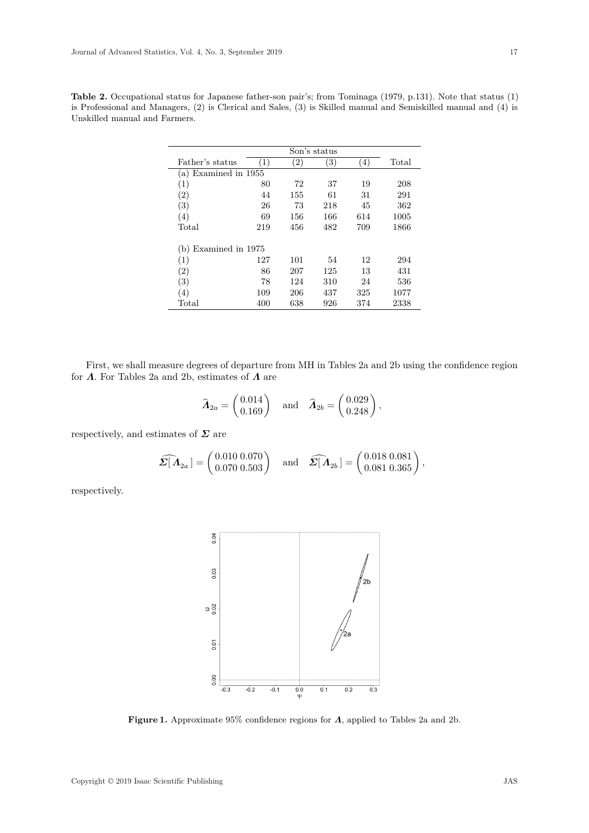|                         |     |                   | Son's status      |     |       |
|-------------------------|-----|-------------------|-------------------|-----|-------|
| Father's status         | (1) | $\left( 2\right)$ | $\left( 3\right)$ | (4) | Total |
| Examined in 1955<br>(a) |     |                   |                   |     |       |
| (1)                     | 80  | 72                | 37                | 19  | 208   |
| $\left( 2\right)$       | 44  | 155               | 61                | 31  | 291   |
| (3)                     | 26  | 73                | 218               | 45  | 362   |
| (4)                     | 69  | 156               | 166               | 614 | 1005  |
| Total                   | 219 | 456               | 482               | 709 | 1866  |
| Examined in 1975<br>(b  |     |                   |                   |     |       |
| (1)                     | 127 | 101               | 54                | 12  | 294   |
| (2)                     | 86  | 207               | 125               | 13  | 431   |
| (3)                     | 78  | 124               | 310               | 24  | 536   |
| (4)                     | 109 | 206               | 437               | 325 | 1077  |
| Total                   | 400 | 638               | 926               | 374 | 2338  |

**Table 2.** Occupational status for Japanese father-son pair's; from Tominaga (1979, p.131). Note that status (1) is Professional and Managers, (2) is Clerical and Sales, (3) is Skilled manual and Semiskilled manual and (4) is Unskilled manual and Farmers.

First, we shall measure degrees of departure from MH in Tables 2a and 2b using the confidence region for *Λ*. For Tables 2a and 2b, estimates of *Λ* are

$$
\widehat{\mathbf{\Lambda}}_{2a} = \begin{pmatrix} 0.014 \\ 0.169 \end{pmatrix} \quad \text{and} \quad \widehat{\mathbf{\Lambda}}_{2b} = \begin{pmatrix} 0.029 \\ 0.248 \end{pmatrix},
$$

respectively, and estimates of  $\Sigma$  are

$$
\widehat{\mathbf{\Sigma}}[\mathbf{\Lambda}_{2a}] = \begin{pmatrix} 0.010 & 0.070 \\ 0.070 & 0.503 \end{pmatrix} \text{ and } \widehat{\mathbf{\Sigma}}[\mathbf{\Lambda}_{2b}] = \begin{pmatrix} 0.018 & 0.081 \\ 0.081 & 0.365 \end{pmatrix},
$$

respectively.



**Figure 1.** Approximate 95% confidence regions for *Λ*, applied to Tables 2a and 2b.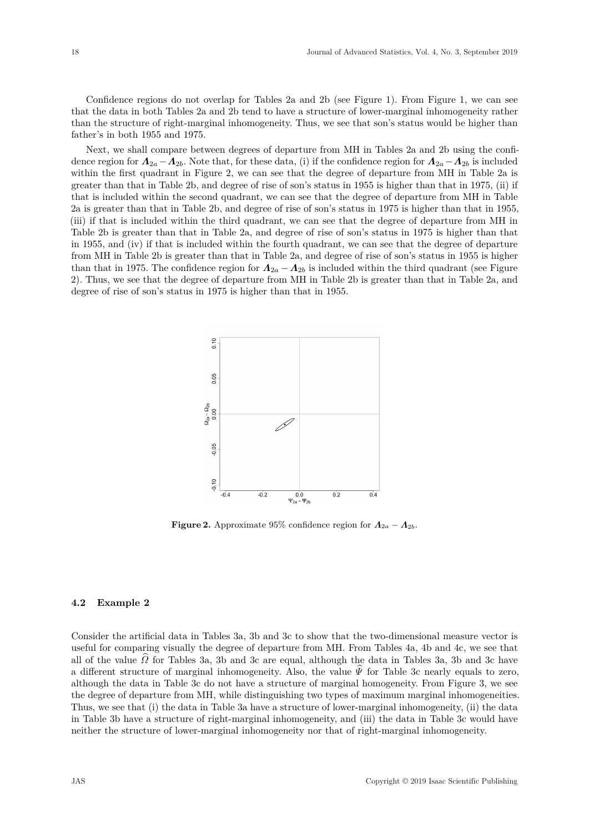Confidence regions do not overlap for Tables 2a and 2b (see Figure 1). From Figure 1, we can see that the data in both Tables 2a and 2b tend to have a structure of lower-marginal inhomogeneity rather than the structure of right-marginal inhomogeneity. Thus, we see that son's status would be higher than father's in both 1955 and 1975.

Next, we shall compare between degrees of departure from MH in Tables 2a and 2b using the confidence region for  $\Lambda_{2a} - \Lambda_{2b}$ . Note that, for these data, (i) if the confidence region for  $\Lambda_{2a} - \Lambda_{2b}$  is included within the first quadrant in Figure 2, we can see that the degree of departure from MH in Table 2a is greater than that in Table 2b, and degree of rise of son's status in 1955 is higher than that in 1975, (ii) if that is included within the second quadrant, we can see that the degree of departure from MH in Table 2a is greater than that in Table 2b, and degree of rise of son's status in 1975 is higher than that in 1955, (iii) if that is included within the third quadrant, we can see that the degree of departure from MH in Table 2b is greater than that in Table 2a, and degree of rise of son's status in 1975 is higher than that in 1955, and (iv) if that is included within the fourth quadrant, we can see that the degree of departure from MH in Table 2b is greater than that in Table 2a, and degree of rise of son's status in 1955 is higher than that in 1975. The confidence region for  $\Lambda_{2a} - \Lambda_{2b}$  is included within the third quadrant (see Figure 2). Thus, we see that the degree of departure from MH in Table 2b is greater than that in Table 2a, and degree of rise of son's status in 1975 is higher than that in 1955.



**Figure 2.** Approximate 95% confidence region for  $\Lambda_{2a} - \Lambda_{2b}$ .

#### **4.2 Example 2**

Consider the artificial data in Tables 3a, 3b and 3c to show that the two-dimensional measure vector is useful for comparing visually the degree of departure from MH. From Tables 4a, 4b and 4c, we see that all of the value  $\Omega$  for Tables 3a, 3b and 3c are equal, although the data in Tables 3a, 3b and 3c have a different structure of marginal inhomogeneity. Also, the value  $\hat{\Psi}$  for Table 3c nearly equals to zero, although the data in Table 3c do not have a structure of marginal homogeneity. From Figure 3, we see the degree of departure from MH, while distinguishing two types of maximum marginal inhomogeneities. Thus, we see that (i) the data in Table 3a have a structure of lower-marginal inhomogeneity, (ii) the data in Table 3b have a structure of right-marginal inhomogeneity, and (iii) the data in Table 3c would have neither the structure of lower-marginal inhomogeneity nor that of right-marginal inhomogeneity.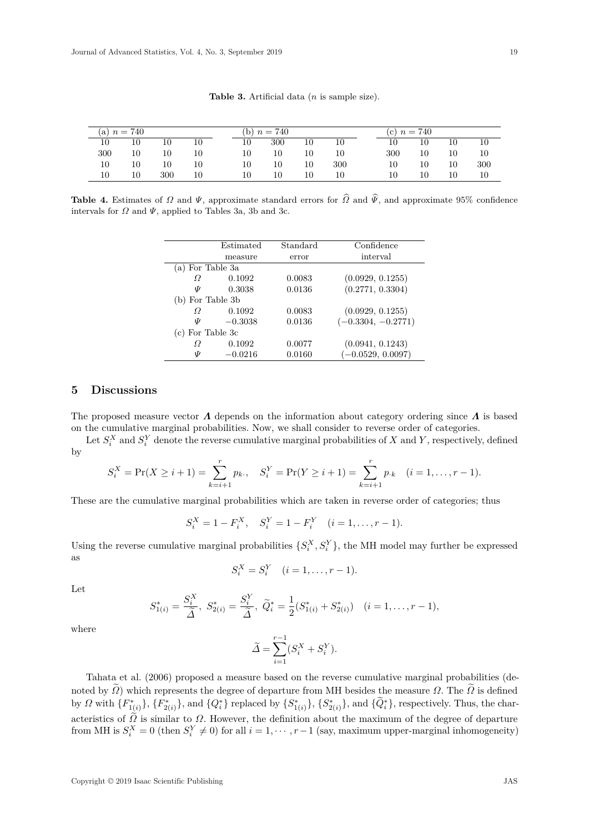| (a) $n = 740$ |    |     |    |  | (b) $n = 740$ |     |    |     | (c) $n = 740$ |    |    |     |  |
|---------------|----|-----|----|--|---------------|-----|----|-----|---------------|----|----|-----|--|
| 10            | 10 | 10  | 10 |  | 10            | 300 | 10 | 10  | 10            | 10 | 10 | 10  |  |
| 300           | 10 | 10  | 10 |  | 10            | 10  | 10 | 10  | 300           | 10 | 10 | 10  |  |
| 10            | 10 | 10  | 10 |  | 10            | 10  | 10 | 300 | 10            | 10 | 10 | 300 |  |
| 10            | 10 | 300 | 10 |  | 10            | 10  | 10 | 10  | 10            | 10 | 10 | 10  |  |

**Table 3.** Artificial data (*n* is sample size).

**Table 4.** Estimates of *Ω* and *Ψ*, approximate standard errors for  $\hat{\Omega}$  and  $\hat{\Psi}$ , and approximate 95% confidence intervals for  $\Omega$  and  $\Psi$ , applied to Tables 3a, 3b and 3c.

|                    | Estimated | Standard | Confidence           |
|--------------------|-----------|----------|----------------------|
|                    | measure   | error    | interval             |
| (a) For Table 3a   |           |          |                      |
| Ω                  | 0.1092    | 0.0083   | (0.0929, 0.1255)     |
| Ψ                  | 0.3038    | 0.0136   | (0.2771, 0.3304)     |
| (b) For Table 3b   |           |          |                      |
| Ω                  | 0.1092    | 0.0083   | (0.0929, 0.1255)     |
| Ψ                  | $-0.3038$ | 0.0136   | $(-0.3304, -0.2771)$ |
| $(c)$ For Table 3c |           |          |                      |
| Ω                  | 0.1092    | 0.0077   | (0.0941, 0.1243)     |
| Ψ                  | $-0.0216$ | 0.0160   | $(-0.0529, 0.0097)$  |

# **5 Discussions**

The proposed measure vector *Λ* depends on the information about category ordering since *Λ* is based on the cumulative marginal probabilities. Now, we shall consider to reverse order of categories.

Let  $S_i^X$  and  $S_i^Y$  denote the reverse cumulative marginal probabilities of *X* and *Y*, respectively, defined by

$$
S_i^X = \Pr(X \ge i+1) = \sum_{k=i+1}^r p_k, \quad S_i^Y = \Pr(Y \ge i+1) = \sum_{k=i+1}^r p_k \quad (i = 1, \dots, r-1).
$$

These are the cumulative marginal probabilities which are taken in reverse order of categories; thus

$$
S_i^X = 1 - F_i^X
$$
,  $S_i^Y = 1 - F_i^Y$   $(i = 1, ..., r - 1)$ .

Using the reverse cumulative marginal probabilities  $\{S_i^X, S_i^Y\}$ , the MH model may further be expressed as

$$
S_i^X = S_i^Y \quad (i = 1, \dots, r - 1).
$$

Let

$$
S_{1(i)}^* = \frac{S_i^X}{\tilde{\Delta}}, \ S_{2(i)}^* = \frac{S_i^Y}{\tilde{\Delta}}, \ \tilde{Q}_i^* = \frac{1}{2}(S_{1(i)}^* + S_{2(i)}^*) \quad (i = 1, \dots, r - 1),
$$

where

$$
\widetilde{\Delta} = \sum_{i=1}^{r-1} (S_i^X + S_i^Y).
$$

Tahata et al. (2006) proposed a measure based on the reverse cumulative marginal probabilities (denoted by  $\widetilde{\Omega}$ ) which represents the degree of departure from MH besides the measure  $\Omega$ . The  $\widetilde{\Omega}$  is defined by  $\Omega$  with  $\{F_{1(i)}^*\}, \{F_{2(i)}^*\},$  and  $\{Q_i^*\}$  replaced by  $\{S_{1(i)}^*\}, \{S_{2(i)}^*\},$  and  $\{Q_i^*\},$  respectively. Thus, the characteristics of  $\Omega$  is similar to  $\Omega$ . However, the definition about the maximum of the degree of departure from MH is  $S_i^X = 0$  (then  $S_i^Y \neq 0$ ) for all  $i = 1, \dots, r-1$  (say, maximum upper-marginal inhomogeneity)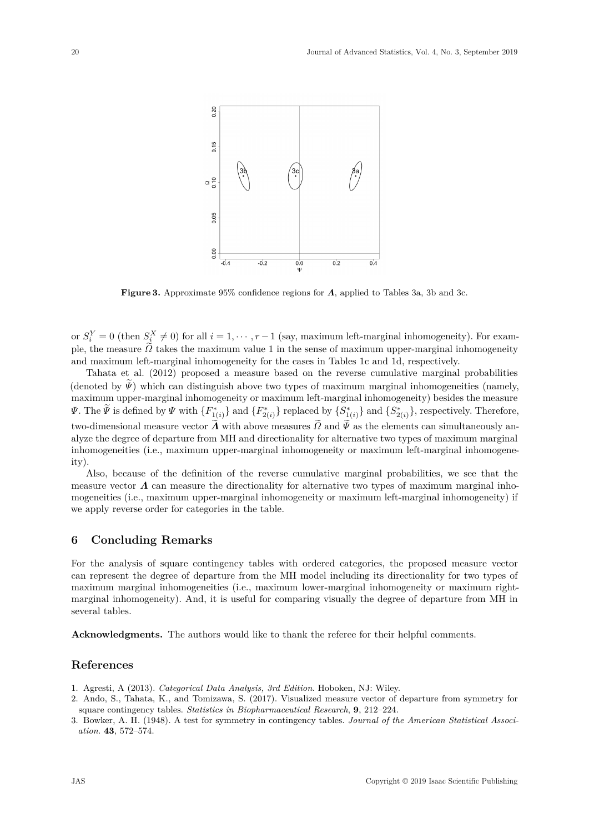

**Figure 3.** Approximate 95% confidence regions for *Λ*, applied to Tables 3a, 3b and 3c.

or  $S_i^Y = 0$  (then  $S_i^X \neq 0$ ) for all  $i = 1, \dots, r-1$  (say, maximum left-marginal inhomogeneity). For example, the measure *Ω* takes the maximum value 1 in the sense of maximum upper-marginal inhomogeneity and maximum left-marginal inhomogeneity for the cases in Tables 1c and 1d, respectively.

Tahata et al. (2012) proposed a measure based on the reverse cumulative marginal probabilities (denoted by  $\tilde{\Psi}$ ) which can distinguish above two types of maximum marginal inhomogeneities (namely, maximum upper-marginal inhomogeneity or maximum left-marginal inhomogeneity) besides the measure  $\Psi$ . The  $\Psi$  is defined by  $\Psi$  with  $\{F^*_{1(i)}\}$  and  $\{F^*_{2(i)}\}$  replaced by  $\{S^*_{1(i)}\}$  and  $\{S^*_{2(i)}\}$ , respectively. Therefore, two-dimensional measure vector  $\widetilde{\Lambda}$  with above measures  $\widetilde{\Omega}$  and  $\widetilde{\Psi}$  as the elements can simultaneously analyze the degree of departure from MH and directionality for alternative two types of maximum marginal inhomogeneities (i.e., maximum upper-marginal inhomogeneity or maximum left-marginal inhomogeneity).

Also, because of the definition of the reverse cumulative marginal probabilities, we see that the measure vector *Λ* can measure the directionality for alternative two types of maximum marginal inhomogeneities (i.e., maximum upper-marginal inhomogeneity or maximum left-marginal inhomogeneity) if we apply reverse order for categories in the table.

# **6 Concluding Remarks**

For the analysis of square contingency tables with ordered categories, the proposed measure vector can represent the degree of departure from the MH model including its directionality for two types of maximum marginal inhomogeneities (i.e., maximum lower-marginal inhomogeneity or maximum rightmarginal inhomogeneity). And, it is useful for comparing visually the degree of departure from MH in several tables.

**Acknowledgments.** The authors would like to thank the referee for their helpful comments.

# **References**

- 1. Agresti, A (2013). *Categorical Data Analysis, 3rd Edition*. Hoboken, NJ: Wiley.
- 2. Ando, S., Tahata, K., and Tomizawa, S. (2017). Visualized measure vector of departure from symmetry for square contingency tables. *Statistics in Biopharmaceutical Research*, **9**, 212–224.
- 3. Bowker, A. H. (1948). A test for symmetry in contingency tables. *Journal of the American Statistical Association*. **43**, 572–574.